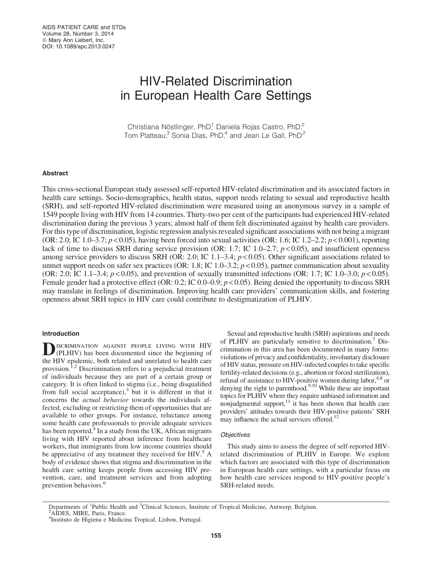# HIV-Related Discrimination in European Health Care Settings

Christiana Nöstlinger, PhD,<sup>1</sup> Daniela Rojas Castro, PhD,<sup>2</sup> Tom Platteau, $3$  Sonia Dias, PhD, $4$  and Jean Le Gall, PhD<sup>2</sup>

#### Abstract

This cross-sectional European study assessed self-reported HIV-related discrimination and its associated factors in health care settings. Socio-demographics, health status, support needs relating to sexual and reproductive health (SRH), and self-reported HIV-related discrimination were measured using an anonymous survey in a sample of 1549 people living with HIV from 14 countries. Thirty-two per cent of the participants had experienced HIV-related discrimination during the previous 3 years; almost half of them felt discriminated against by health care providers. For this type of discrimination, logistic regression analysis revealed significant associations with not being a migrant (OR: 2.0; IC 1.0–3.7; *p* < 0.05), having been forced into sexual activities (OR: 1.6; IC 1.2–2.2; *p* < 0.001), reporting lack of time to discuss SRH during service provision (OR: 1.7; IC 1.0–2.7; *p* < 0.05), and insufficient openness among service providers to discuss SRH (OR: 2.0; IC 1.1–3.4; *p* < 0.05). Other significant associations related to unmet support needs on safer sex practices (OR: 1.8; IC 1.0–3.2;  $p < 0.05$ ), partner communication about sexuality (OR: 2.0; IC 1.1–3.4;  $p < 0.05$ ), and prevention of sexually transmitted infections (OR: 1.7; IC 1.0–3.0;  $p < 0.05$ ). Female gender had a protective effect (OR: 0.2; IC 0.0–0.9; *p* < 0.05). Being denied the opportunity to discuss SRH may translate in feelings of discrimination. Improving health care providers' communication skills, and fostering openness about SRH topics in HIV care could contribute to destigmatization of PLHIV.

# Introduction

ISCRIMINATION AGAINST PEOPLE LIVING WITH HIV (PLHIV) has been documented since the beginning of the HIV epidemic, both related and unrelated to health care provision.<sup>1,2</sup> Discrimination refers to a prejudicial treatment of individuals because they are part of a certain group or category. It is often linked to stigma (i.e., being disqualified from full social acceptance), $3$  but it is different in that it concerns the *actual behavior* towards the individuals affected, excluding or restricting them of opportunities that are available to other groups. For instance, reluctance among some health care professionals to provide adequate services has been reported. $4 \text{ In a study from the UK, African migrants}$ living with HIV reported about inference from healthcare workers, that immigrants from low income countries should be appreciative of any treatment they received for HIV.<sup>5</sup> A body of evidence shows that stigma and discrimination in the health care setting keeps people from accessing HIV prevention, care, and treatment services and from adopting prevention behaviors.<sup>6</sup>

Sexual and reproductive health (SRH) aspirations and needs of PLHIV are particularly sensitive to discrimination.<sup>7</sup> Discrimination in this area has been documented in many forms: violations of privacy and confidentiality, involuntary disclosure of HIV status, pressure on HIV-infected couples to take specific fertility-related decisions (e.g., abortion or forced sterilization), refusal of assistance to HIV-positive women during labor, $4.8$  or denying the right to parenthood.<sup>9,10</sup> While these are important topics for PLHIV where they require unbiased information and nonjudgmental support, $11$  it has been shown that health care providers' attitudes towards their HIV-positive patients' SRH may influence the actual services offered.<sup>12</sup>

#### **Objectives**

This study aims to assess the degree of self-reported HIVrelated discrimination of PLHIV in Europe. We explore which factors are associated with this type of discrimination in European health care settings, with a particular focus on how health care services respond to HIV-positive people's SRH-related needs.

Departments of <sup>1</sup>Public Health and <sup>3</sup>Clinical Sciences, Institute of Tropical Medicine, Antwerp, Belgium.<br><sup>2</sup>AIDES MIRE Paris, France

<sup>&</sup>lt;sup>2</sup>AIDES, MIRE, Paris, France.<br><sup>4</sup>Instituto de Higiena e Medicina Tropical, Lisbon, Portugal.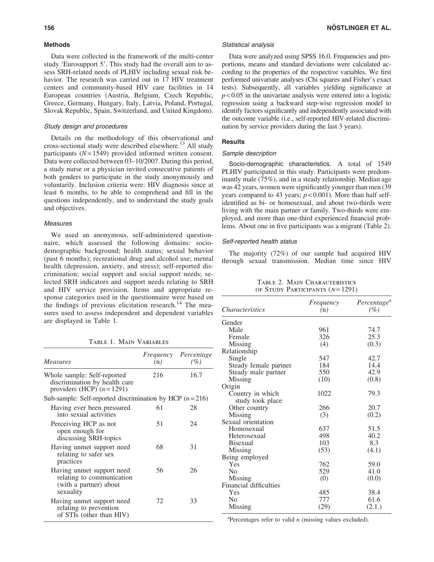#### Methods

Data were collected in the framework of the multi-center study 'Eurosupport 5'. This study had the overall aim to assess SRH-related needs of PLHIV including sexual risk behavior. The research was carried out in 17 HIV treatment centers and community-based HIV care facilities in 14 European countries (Austria, Belgium, Czech Republic, Greece, Germany, Hungary, Italy, Latvia, Poland, Portugal, Slovak Republic, Spain, Switzerland, and United Kingdom).

#### Study design and procedures

Details on the methodology of this observational and cross-sectional study were described elsewhere.<sup>13</sup> All study participants ( $N = 1549$ ) provided informed written consent. Data were collected between 03–10/2007. During this period, a study nurse or a physician invited consecutive patients of both genders to participate in the study anonymously and voluntarily. Inclusion criteria were: HIV diagnosis since at least 6 months, to be able to comprehend and fill in the questions independently, and to understand the study goals and objectives.

# Measures

We used an anonymous, self-administered questionnaire, which assessed the following domains: sociodemographic background; health status; sexual behavior (past 6 months); recreational drug and alcohol use; mental health (depression, anxiety, and stress); self-reported discrimination; social support and social support needs; selected SRH indicators and support needs relating to SRH and HIV service provision. Items and appropriate response categories used in the questionnaire were based on the findings of previous elicitation research.<sup>14</sup> The measures used to assess independent and dependent variables are displayed in Table 1.

Table 1. Main Variables

| <i>Measures</i>                                                                               | (n) | Frequency Percentage<br>(%) |
|-----------------------------------------------------------------------------------------------|-----|-----------------------------|
| Whole sample: Self-reported<br>discrimination by health care<br>providers (HCP) $(n=1291)$    | 216 | 16.7                        |
| Sub-sample: Self-reported discrimination by HCP $(n=216)$                                     |     |                             |
| Having ever been pressured<br>into sexual activities                                          | 61  | 28                          |
| Perceiving HCP as not<br>open enough for<br>discussing SRH-topics                             | 51  | 24                          |
| Having unmet support need<br>relating to safer sex<br>practices                               | 68  | 31                          |
| Having unmet support need<br>relating to communication<br>(with a partner) about<br>sexuality | 56  | 26                          |
| Having unmet support need<br>relating to prevention<br>of STIs (other than HIV)               | 72  | 33                          |

#### Statistical analysis

Data were analyzed using SPSS 16.0. Frequencies and proportions, means and standard deviations were calculated according to the properties of the respective variables. We first performed univariate analyses (Chi squares and Fisher's exact tests). Subsequently, all variables yielding significance at  $p < 0.05$  in the univariate analysis were entered into a logistic regression using a backward step-wise regression model to identify factors significantly and independently associated with the outcome variable (i.e., self-reported HIV-related discrimination by service providers during the last 3 years).

# **Results**

# Sample description

Socio-demographic characteristics. A total of 1549 PLHIV participated in this study. Participants were predominantly male (75%), and in a steady relationship. Median age was 42 years, women were significantly younger than men (39 years compared to 43 years; *p* < 0.001). More than half selfidentified as bi- or homosexual, and about two-thirds were living with the main partner or family. Two-thirds were employed, and more than one-third experienced financial problems. About one in five participants was a migrant (Table 2).

# Self-reported health status

The majority (72%) of our sample had acquired HIV through sexual transmission. Median time since HIV

| TABLE 2. MAIN CHARACTERISTICS    |
|----------------------------------|
| OF STUDY PARTICIPANTS $(N=1291)$ |

| <i>Characteristics</i>               | Frequency<br>(n) | Percentage <sup>a</sup><br>(%) |
|--------------------------------------|------------------|--------------------------------|
| Gender                               |                  |                                |
| Male                                 | 961              | 74.7                           |
| Female                               | 326              | 25.3                           |
| Missing                              | (4)              | (0.3)                          |
| Relationship                         |                  |                                |
| Single                               | 547              | 42.7                           |
| Steady female partner                | 184              | 14.4                           |
| Steady male partner                  | 550              | 42.9                           |
| Missing                              | (10)             | (0.8)                          |
| Origin                               |                  |                                |
| Country in which<br>study took place | 1022             | 79.3                           |
| Other country                        | 266              | 20.7                           |
| Missing                              | (3)              | (0.2)                          |
| Sexual orientation                   |                  |                                |
| Homosexual                           | 637              | 51.5                           |
| Heterosexual                         | 498              | 40.2                           |
| <b>Bisexual</b>                      | 103              | 8.3                            |
| Missing                              | (53)             | (4.1)                          |
| Being employed                       |                  |                                |
| Yes                                  | 762              | 59.0                           |
| No                                   | 529              | 41.0                           |
| Missing                              | (0)              | (0.0)                          |
| Financial difficulties               |                  |                                |
| Yes                                  | 485              | 38.4                           |
| N <sub>0</sub>                       | 777              | 61.6                           |
| Missing                              | (29)             | (2.1.)                         |

a Percentages refer to valid *n* (missing values excluded).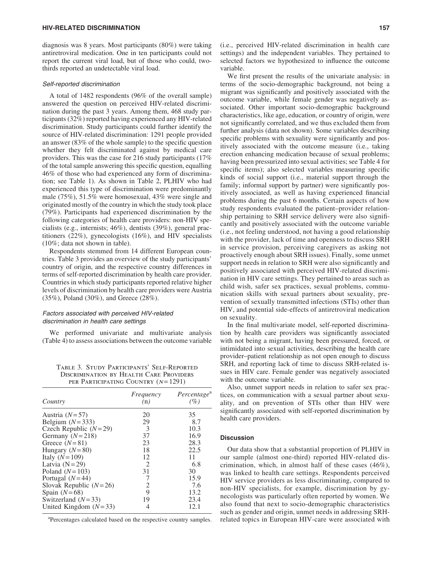## HIV-RELATED DISCRIMINATION 157

diagnosis was 8 years. Most participants (80%) were taking antiretroviral medication. One in ten participants could not report the current viral load, but of those who could, twothirds reported an undetectable viral load.

#### Self-reported discrimination

A total of 1482 respondents (96% of the overall sample) answered the question on perceived HIV-related discrimination during the past 3 years. Among them, 468 study participants (32%) reported having experienced any HIV-related discrimination. Study participants could further identify the source of HIV-related discrimination: 1291 people provided an answer (83% of the whole sample) to the specific question whether they felt discriminated against by medical care providers. This was the case for 216 study participants (17% of the total sample answering this specific question, equalling 46% of those who had experienced any form of discrimination; see Table 1). As shown in Table 2, PLHIV who had experienced this type of discrimination were predominantly male (75%), 51.5% were homosexual, 43% were single and originated mostly of the country in which the study took place (79%). Participants had experienced discrimination by the following categories of health care providers: non-HIV specialists (e.g., internists; 46%), dentists (39%), general practitioners (22%), gynecologists (16%), and HIV specialists (10%; data not shown in table).

Respondents stemmed from 14 different European countries. Table 3 provides an overview of the study participants' country of origin, and the respective country differences in terms of self-reported discrimination by health care provider. Countries in which study participants reported relative higher levels of discrimination by health care providers were Austria (35%), Poland (30%), and Greece (28%).

# Factors associated with perceived HIV-related discrimination in health care settings

We performed univariate and multivariate analysis (Table 4) to assess associations between the outcome variable

Table 3. Study Participants' Self-Reported Discrimination by Health Care Providers per Participating Country  $(N=1291)$ 

| Country                  | Frequency<br>(n) | Percentage <sup>a</sup><br>(%) |
|--------------------------|------------------|--------------------------------|
| Austria $(N=57)$         | 20               | 35                             |
| Belgium $(N=333)$        | 29               | 8.7                            |
| Czech Republic $(N=29)$  | 3                | 10.3                           |
| Germany $(N=218)$        | 37               | 16.9                           |
| Greece $(N=81)$          | 23               | 28.3                           |
| Hungary $(N=80)$         | 18               | 22.5                           |
| Italy $(N=109)$          | 12               | 11                             |
| Latvia $(N=29)$          | 2                | 6.8                            |
| Poland $(N=103)$         | 31               | 30                             |
| Portugal $(N=44)$        | 7                | 15.9                           |
| Slovak Republic $(N=26)$ | 2                | 7.6                            |
| Spain $(N=68)$           | 9                | 13.2                           |
| Switzerland $(N=33)$     | 19               | 23.4                           |
| United Kingdom $(N=33)$  | 4                | 12.1                           |

<sup>a</sup>Percentages calculated based on the respective country samples.

(i.e., perceived HIV-related discrimination in health care settings) and the independent variables. They pertained to selected factors we hypothesized to influence the outcome variable.

We first present the results of the univariate analysis: in terms of the socio-demographic background, not being a migrant was significantly and positively associated with the outcome variable, while female gender was negatively associated. Other important socio-demographic background characteristics, like age, education, or country of origin, were not significantly correlated, and we thus excluded them from further analysis (data not shown). Some variables describing specific problems with sexuality were significantly and positively associated with the outcome measure (i.e., taking erection enhancing medication because of sexual problems; having been pressurized into sexual activities; see Table 4 for specific items); also selected variables measuring specific kinds of social support (i.e., material support through the family; informal support by partner) were significantly positively associated, as well as having experienced financial problems during the past 6 months. Certain aspects of how study respondents evaluated the patient–provider relationship pertaining to SRH service delivery were also significantly and positively associated with the outcome variable (i.e., not feeling understood, not having a good relationship with the provider, lack of time and openness to discuss SRH in service provision, perceiving caregivers as asking not proactively enough about SRH issues). Finally, some unmet support needs in relation to SRH were also significantly and positively associated with perceived HIV-related discrimination in HIV care settings. They pertained to areas such as child wish, safer sex practices, sexual problems, communication skills with sexual partners about sexuality, prevention of sexually transmitted infections (STIs) other than HIV, and potential side-effects of antiretroviral medication on sexuality.

In the final multivariate model, self-reported discrimination by health care providers was significantly associated with not being a migrant, having been pressured, forced, or intimidated into sexual activities, describing the health care provider–patient relationship as not open enough to discuss SRH, and reporting lack of time to discuss SRH-related issues in HIV care. Female gender was negatively associated with the outcome variable.

Also, unmet support needs in relation to safer sex practices, on communication with a sexual partner about sexuality, and on prevention of STIs other than HIV were significantly associated with self-reported discrimination by health care providers.

### Discussion

Our data show that a substantial proportion of PLHIV in our sample (almost one-third) reported HIV-related discrimination, which, in almost half of these cases (46%), was linked to health care settings. Respondents perceived HIV service providers as less discriminating, compared to non-HIV specialists, for example, discrimination by gynecologists was particularly often reported by women. We also found that next to socio-demographic characteristics such as gender and origin, unmet needs in addressing SRHrelated topics in European HIV-care were associated with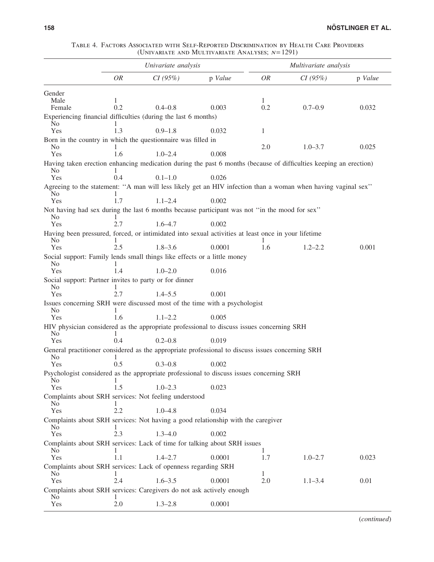|                       |     | Univariate analysis                                                                                               |         | Multivariate analysis |             |         |  |
|-----------------------|-----|-------------------------------------------------------------------------------------------------------------------|---------|-----------------------|-------------|---------|--|
|                       | OR  | CI(95%)                                                                                                           | p Value | OR                    | CI(95%)     | p Value |  |
| Gender                |     |                                                                                                                   |         |                       |             |         |  |
| Male                  | 1   |                                                                                                                   |         | $\mathbf{1}$          |             |         |  |
| Female                | 0.2 | $0.4 - 0.8$                                                                                                       | 0.003   | 0.2                   | $0.7 - 0.9$ | 0.032   |  |
| No                    |     | Experiencing financial difficulties (during the last 6 months)                                                    |         |                       |             |         |  |
| Yes                   | 1.3 | $0.9 - 1.8$                                                                                                       | 0.032   | 1                     |             |         |  |
|                       |     | Born in the country in which the questionnaire was filled in                                                      |         |                       |             |         |  |
| N <sub>0</sub><br>Yes | 1.6 | $1.0 - 2.4$                                                                                                       | 0.008   | 2.0                   | $1.0 - 3.7$ | 0.025   |  |
|                       |     | Having taken erection enhancing medication during the past 6 months (because of difficulties keeping an erection) |         |                       |             |         |  |
| No.                   |     |                                                                                                                   |         |                       |             |         |  |
| Yes                   | 0.4 | $0.1 - 1.0$                                                                                                       | 0.026   |                       |             |         |  |
| No.                   |     | Agreeing to the statement: "A man will less likely get an HIV infection than a woman when having vaginal sex"     |         |                       |             |         |  |
| Yes                   | 1.7 | $1.1 - 2.4$                                                                                                       | 0.002   |                       |             |         |  |
|                       |     | Not having had sex during the last 6 months because participant was not "in the mood for sex"                     |         |                       |             |         |  |
| No                    |     |                                                                                                                   |         |                       |             |         |  |
| Yes                   | 2.7 | $1.6 - 4.7$                                                                                                       | 0.002   |                       |             |         |  |
| N <sub>0</sub>        |     | Having been pressured, forced, or intimidated into sexual activities at least once in your lifetime               |         |                       |             |         |  |
| Yes                   | 2.5 | $1.8 - 3.6$                                                                                                       | 0.0001  | 1.6                   | $1.2 - 2.2$ | 0.001   |  |
|                       |     | Social support: Family lends small things like effects or a little money                                          |         |                       |             |         |  |
| No<br>Yes             | 1.4 | $1.0 - 2.0$                                                                                                       | 0.016   |                       |             |         |  |
|                       |     | Social support: Partner invites to party or for dinner                                                            |         |                       |             |         |  |
| N <sub>0</sub>        |     |                                                                                                                   |         |                       |             |         |  |
| Yes                   | 2.7 | $1.4 - 5.5$                                                                                                       | 0.001   |                       |             |         |  |
|                       |     | Issues concerning SRH were discussed most of the time with a psychologist                                         |         |                       |             |         |  |
| No<br>Yes             | 1.6 | $1.1 - 2.2$                                                                                                       | 0.005   |                       |             |         |  |
|                       |     | HIV physician considered as the appropriate professional to discuss issues concerning SRH                         |         |                       |             |         |  |
| N <sub>o</sub>        |     |                                                                                                                   |         |                       |             |         |  |
| Yes                   | 0.4 | $0.2 - 0.8$                                                                                                       | 0.019   |                       |             |         |  |
|                       |     | General practitioner considered as the appropriate professional to discuss issues concerning SRH                  |         |                       |             |         |  |
| N <sub>0</sub><br>Yes | 0.5 | $0.3 - 0.8$                                                                                                       | 0.002   |                       |             |         |  |
|                       |     | Psychologist considered as the appropriate professional to discuss issues concerning SRH                          |         |                       |             |         |  |
| No                    |     |                                                                                                                   |         |                       |             |         |  |
| Yes                   | 1.5 | $1.0 - 2.3$                                                                                                       | 0.023   |                       |             |         |  |
| No.                   |     | Complaints about SRH services: Not feeling understood                                                             |         |                       |             |         |  |
| Yes                   | 2.2 | $1.0 - 4.8$                                                                                                       | 0.034   |                       |             |         |  |
|                       |     | Complaints about SRH services: Not having a good relationship with the caregiver                                  |         |                       |             |         |  |
| N <sub>0</sub>        |     | $1.3 - 4.0$                                                                                                       |         |                       |             |         |  |
| Yes                   | 2.3 | Complaints about SRH services: Lack of time for talking about SRH issues                                          | 0.002   |                       |             |         |  |
| N <sub>0</sub>        |     |                                                                                                                   |         |                       |             |         |  |
| Yes                   | 1.1 | $1.4 - 2.7$                                                                                                       | 0.0001  | 1.7                   | $1.0 - 2.7$ | 0.023   |  |
|                       |     | Complaints about SRH services: Lack of openness regarding SRH                                                     |         |                       |             |         |  |
| N <sub>0</sub><br>Yes | 2.4 | $1.6 - 3.5$                                                                                                       | 0.0001  | 1<br>2.0              | $1.1 - 3.4$ | 0.01    |  |
|                       |     | Complaints about SRH services: Caregivers do not ask actively enough                                              |         |                       |             |         |  |
| N <sub>0</sub>        |     |                                                                                                                   |         |                       |             |         |  |
| Yes                   | 2.0 | $1.3 - 2.8$                                                                                                       | 0.0001  |                       |             |         |  |

Table 4. Factors Associated with Self-Reported Discrimination by Health Care Providers (UNIVARIATE AND MULTIVARIATE ANALYSES;  $N = 1291$ )

(*continued*)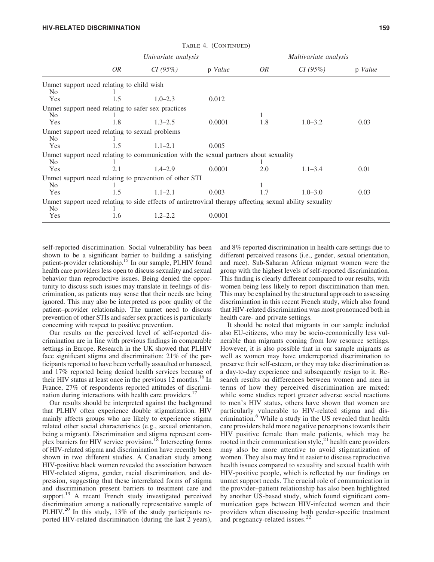|                |                                                | Univariate analysis                                                                                      |                |     | Multivariate analysis |         |  |
|----------------|------------------------------------------------|----------------------------------------------------------------------------------------------------------|----------------|-----|-----------------------|---------|--|
|                | OR                                             | CI(95%)                                                                                                  | p <i>Value</i> | OR  | CI(95%)               | p Value |  |
|                | Unmet support need relating to child wish.     |                                                                                                          |                |     |                       |         |  |
| N <sub>0</sub> |                                                |                                                                                                          |                |     |                       |         |  |
| Yes            | 1.5                                            | $1.0 - 2.3$                                                                                              | 0.012          |     |                       |         |  |
|                |                                                | Unmet support need relating to safer sex practices                                                       |                |     |                       |         |  |
| No.            |                                                |                                                                                                          |                |     |                       |         |  |
| Yes            | 1.8                                            | $1.3 - 2.5$                                                                                              | 0.0001         | 1.8 | $1.0 - 3.2$           | 0.03    |  |
|                | Unmet support need relating to sexual problems |                                                                                                          |                |     |                       |         |  |
| No.            |                                                |                                                                                                          |                |     |                       |         |  |
| Yes            | 1.5                                            | $1.1 - 2.1$                                                                                              | 0.005          |     |                       |         |  |
|                |                                                | Unmet support need relating to communication with the sexual partners about sexuality                    |                |     |                       |         |  |
| N <sub>0</sub> |                                                |                                                                                                          |                |     |                       |         |  |
| Yes            | 2.1                                            | $1.4 - 2.9$                                                                                              | 0.0001         | 2.0 | $1.1 - 3.4$           | 0.01    |  |
|                |                                                | Unmet support need relating to prevention of other STI                                                   |                |     |                       |         |  |
| N <sub>0</sub> |                                                |                                                                                                          |                |     |                       |         |  |
| Yes            | 1.5                                            | $1.1 - 2.1$                                                                                              | 0.003          | 1.7 | $1.0 - 3.0$           | 0.03    |  |
|                |                                                | Unmet support need relating to side effects of antiretroviral therapy affecting sexual ability sexuality |                |     |                       |         |  |
| No.            |                                                |                                                                                                          |                |     |                       |         |  |
| Yes            | 1.6                                            | $1.2 - 2.2$                                                                                              | 0.0001         |     |                       |         |  |
|                |                                                |                                                                                                          |                |     |                       |         |  |

TABLE 4. (CONTINUED)

self-reported discrimination. Social vulnerability has been shown to be a significant barrier to building a satisfying patient-provider relationship.15 In our sample, PLHIV found health care providers less open to discuss sexuality and sexual behavior than reproductive issues. Being denied the opportunity to discuss such issues may translate in feelings of discrimination, as patients may sense that their needs are being ignored. This may also be interpreted as poor quality of the patient–provider relationship. The unmet need to discuss prevention of other STIs and safer sex practices is particularly concerning with respect to positive prevention.

Our results on the perceived level of self-reported discrimination are in line with previous findings in comparable settings in Europe. Research in the UK showed that PLHIV face significant stigma and discrimination: 21% of the participants reported to have been verbally assaulted or harassed, and 17% reported being denied health services because of their HIV status at least once in the previous 12 months.<sup>16</sup> In France, 27% of respondents reported attitudes of discrimination during interactions with health care providers.<sup>17</sup>

Our results should be interpreted against the background that PLHIV often experience double stigmatization. HIV mainly affects groups who are likely to experience stigma related other social characteristics (e.g., sexual orientation, being a migrant). Discrimination and stigma represent complex barriers for HIV service provision.<sup>18</sup> Intersecting forms of HIV-related stigma and discrimination have recently been shown in two different studies. A Canadian study among HIV-positive black women revealed the association between HIV-related stigma, gender, racial discrimination, and depression, suggesting that these interrelated forms of stigma and discrimination present barriers to treatment care and support.<sup>19</sup> A recent French study investigated perceived discrimination among a nationally representative sample of PLHIV.<sup>20</sup> In this study, 13% of the study participants reported HIV-related discrimination (during the last 2 years),

and 8% reported discrimination in health care settings due to different perceived reasons (i.e., gender, sexual orientation, and race). Sub-Saharan African migrant women were the group with the highest levels of self-reported discrimination. This finding is clearly different compared to our results, with women being less likely to report discrimination than men. This may be explained by the structural approach to assessing discrimination in this recent French study, which also found that HIV-related discrimination was most pronounced both in health care- and private settings.

It should be noted that migrants in our sample included also EU-citizens, who may be socio-economically less vulnerable than migrants coming from low resource settings. However, it is also possible that in our sample migrants as well as women may have underreported discrimination to preserve their self-esteem, or they may take discrimination as a day-to-day experience and subsequently resign to it. Research results on differences between women and men in terms of how they perceived discrimination are mixed: while some studies report greater adverse social reactions to men's HIV status, others have shown that women are particularly vulnerable to HIV-related stigma and discrimination.<sup>6</sup> While a study in the US revealed that health care providers held more negative perceptions towards their HIV positive female than male patients, which may be rooted in their communication style,<sup>21</sup> health care providers may also be more attentive to avoid stigmatization of women. They also may find it easier to discuss reproductive health issues compared to sexuality and sexual health with HIV-positive people, which is reflected by our findings on unmet support needs. The crucial role of communication in the provider–patient relationship has also been highlighted by another US-based study, which found significant communication gaps between HIV-infected women and their providers when discussing both gender-specific treatment and pregnancy-related issues.<sup>22</sup>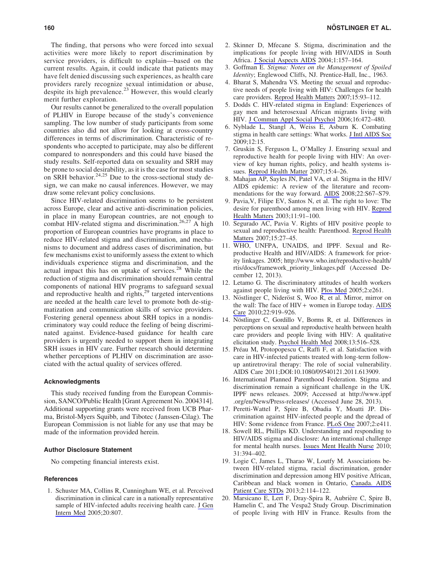The finding, that persons who were forced into sexual activities were more likely to report discrimination by service providers, is difficult to explain—based on the current results. Again, it could indicate that patients may have felt denied discussing such experiences, as health care providers rarely recognize sexual intimidation or abuse, despite its high prevalence.<sup>23</sup> However, this would clearly merit further exploration.

Our results cannot be generalized to the overall population of PLHIV in Europe because of the study's convenience sampling. The low number of study participants from some countries also did not allow for looking at cross-country differences in terms of discrimination. Characteristic of respondents who accepted to participate, may also be different compared to nonresponders and this could have biased the study results. Self-reported data on sexuality and SRH may be prone to social desirability, as it is the case for most studies on SRH behavior. $24.25$  Due to the cross-sectional study design, we can make no causal inferences. However, we may draw some relevant policy conclusions.

Since HIV-related discrimination seems to be persistent across Europe, clear and active anti-discrimination policies, in place in many European countries, are not enough to combat HIV-related stigma and discrimination.<sup>26,27</sup> A high proportion of European countries have programs in place to reduce HIV-related stigma and discrimination, and mechanisms to document and address cases of discrimination, but few mechanisms exist to uniformly assess the extent to which individuals experience stigma and discrimination, and the actual impact this has on uptake of services. $28$  While the reduction of stigma and discrimination should remain central components of national HIV programs to safeguard sexual and reproductive health and rights, $2<sup>9</sup>$  targeted interventions are needed at the health care level to promote both de-stigmatization and communication skills of service providers. Fostering general openness about SRH topics in a nondiscriminatory way could reduce the feeling of being discriminated against. Evidence-based guidance for health care providers is urgently needed to support them in integrating SRH issues in HIV care. Further research should determine whether perceptions of PLHIV on discrimination are associated with the actual quality of services offered.

#### Acknowledgments

This study received funding from the European Commission, SANCO/Public Health [Grant Agreement No. 2004314]. Additional supporting grants were received from UCB Pharma, Bristol-Myers Squibb, and Tibotec ( Janssen-Cilag). The European Commission is not liable for any use that may be made of the information provided herein.

#### Author Disclosure Statement

No competing financial interests exist.

# **References**

1. Schuster MA, Collins R, Cunningham WE, et al. Perceived discrimination in clinical care in a nationally representative sample of HIV-infected adults receiving health care. J Gen Intern Med 2005;20:807.

- 2. Skinner D, Mfecane S. Stigma, discrimination and the implications for people living with HIV/AIDS in South Africa. J Social Aspects AIDS 2004;1:157–164.
- 3. Goffman E. *Stigma: Notes on the Management of Spoiled Identity*; Englewood Cliffs, NJ. Prentice-Hall, Inc., 1963.
- 4. Bharat S, Mahendra VS. Meeting the sexual and reproductive needs of people living with HIV: Challenges for health care providers. Reprod Health Matters 2007;15:93–112.
- 5. Dodds C. HIV-related stigma in England: Experiences of gay men and heterosexual African migrants living with HIV. J Commun Appl Social Psychol 2006;16:472–480.
- 6. Nyblade L, Stangl A, Weiss E, Asburn K. Combating stigma in health care settings: What works. J Intl AIDS Soc 2009;12:15.
- 7. Gruskin S, Ferguson L, O'Malley J. Ensuring sexual and reproductive health for people living with HIV: An overview of key human rights, policy, and health systems issues. Reprod Health Matter 2007;15:4–26.
- 8. Mahajan AP, Sayles JN, Patel VA, et al. Stigma in the HIV/ AIDS epidemic: A review of the literature and recommendations for the way forward. AIDS 2008;22:S67–S79.
- 9. Pavia,V, Filipe EV, Santos N, et al. The right to love: The desire for parenthood among men living with HIV. Reprod Health Matters 2003;11:91–100.
- 10. Segurado AC, Pavia V. Rights of HIV positive people to sexual and reproductive health: Parenthood. Reprod Health Matters 2007;15:27–45.
- 11. WHO, UNFPA, UNAIDS, and IPPF. Sexual and Reproductive Health and HIV/AIDS: A framework for priority linkages. 2005; http://www.who.int/reproductive-health/ rtis/docs/framework\_priority\_linkages.pdf (Accessed December 12, 2013).
- 12. Letamo G. The discriminatory attitudes of health workers against people living with HIV. Plos Med 2005;2:e261.
- 13. Nöstlinger C, Nideröst S, Woo R, et al. Mirror, mirror on the wall: The face of HIV + women in Europe today. AIDS Care 2010;22:919–926.
- 14. Nöstlinger C, Gordillo V, Borms R, et al. Differences in perceptions on sexual and reproductive health between health care providers and people living with HIV: A qualitative elicitation study. Psychol Health Med 2008;13:516–528.
- 15. Préau M, Protopopescu C, Raffi F, et al. Satisfaction with care in HIV-infected patients treated with long-term followup antiretroviral therapy: The role of social vulnerability. AIDS Care 2011;DOI:10.1080/09540121.2011.613909.
- 16. International Planned Parenthood Federation. Stigma and discrimination remain a significant challenge in the UK. IPPF news releases. 2009; Accessed at http://www.ippf .org/en/News/Press-releases/ (Accessed June 28, 2013).
- 17. Peretti-Wattel P, Spire B, Obadia Y, Moatti JP. Discrimination against HIV-infected people and the dpread of HIV: Some rvidence from France. PLoS One 2007;2:e411.
- 18. Sowell RL, Phillips KD. Understanding and responding to HIV/AIDS stigma and disclosre: An international challenge for mental health nurses. Issues Ment Health Nurse 2010; 31:394–402.
- 19. Logie C, James L, Tharao W, Loutfy M. Associations between HIV-related stigma, racial discrimination, gender discrimination and depression among HIV positive African, Caribbean and black women in Ontario, Canada. AIDS Patient Care STDs 2013;2:114–122.
- 20. Marsicano E, Lert F, Dray-Spira R, Aubrière C, Spire B, Hamelin C, and The Vespa2 Study Group. Discrimination of people living with HIV in France. Results from the